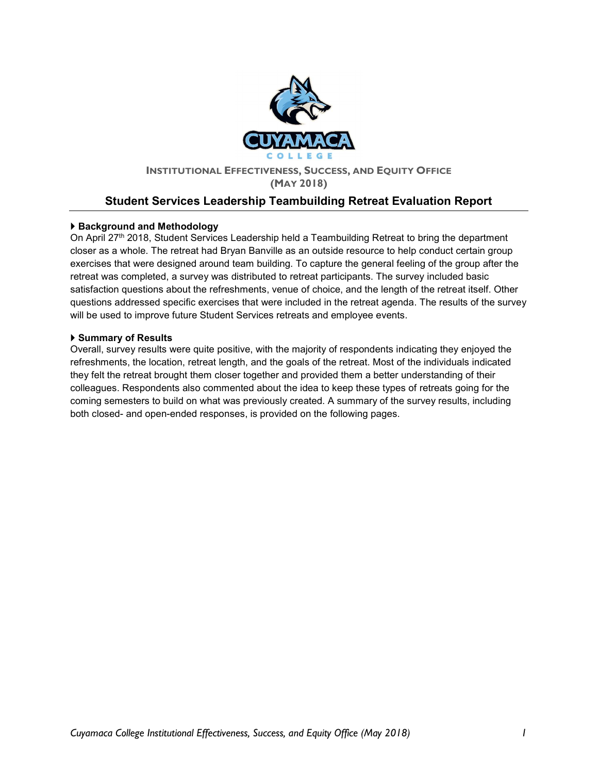

#### INSTITUTIONAL EFFECTIVENESS, SUCCESS, AND EQUITY OFFICE (MAY 2018)

# Student Services Leadership Teambuilding Retreat Evaluation Report

### ▶ Background and Methodology

On April 27th 2018, Student Services Leadership held a Teambuilding Retreat to bring the department closer as a whole. The retreat had Bryan Banville as an outside resource to help conduct certain group exercises that were designed around team building. To capture the general feeling of the group after the retreat was completed, a survey was distributed to retreat participants. The survey included basic satisfaction questions about the refreshments, venue of choice, and the length of the retreat itself. Other questions addressed specific exercises that were included in the retreat agenda. The results of the survey will be used to improve future Student Services retreats and employee events.

### ▶ Summary of Results

Overall, survey results were quite positive, with the majority of respondents indicating they enjoyed the refreshments, the location, retreat length, and the goals of the retreat. Most of the individuals indicated they felt the retreat brought them closer together and provided them a better understanding of their colleagues. Respondents also commented about the idea to keep these types of retreats going for the coming semesters to build on what was previously created. A summary of the survey results, including both closed- and open-ended responses, is provided on the following pages.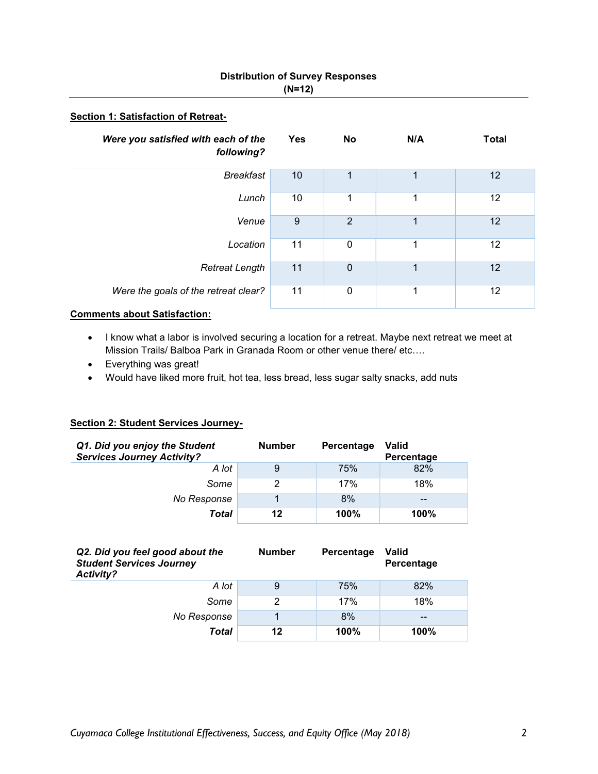# Distribution of Survey Responses (N=12)

#### Section 1: Satisfaction of Retreat-

| Were you satisfied with each of the<br>following? | <b>Yes</b> | No             | N/A | <b>Total</b> |
|---------------------------------------------------|------------|----------------|-----|--------------|
| Breakfast                                         | 10         | 1              | 1   | 12           |
| Lunch                                             | 10         | 1              | 1   | 12           |
| Venue                                             | 9          | $\overline{2}$ | 1   | 12           |
| Location                                          | 11         | $\mathbf 0$    | 1   | 12           |
| <b>Retreat Length</b>                             | 11         | $\mathbf 0$    | 1   | 12           |
| Were the goals of the retreat clear?              | 11         | 0              | 1   | 12           |

### Comments about Satisfaction:

- I know what a labor is involved securing a location for a retreat. Maybe next retreat we meet at Mission Trails/ Balboa Park in Granada Room or other venue there/ etc….
- Everything was great!
- Would have liked more fruit, hot tea, less bread, less sugar salty snacks, add nuts

### Section 2: Student Services Journey-

| Q1. Did you enjoy the Student<br><b>Services Journey Activity?</b> | <b>Number</b> | Percentage | <b>Valid</b><br>Percentage |
|--------------------------------------------------------------------|---------------|------------|----------------------------|
| A lot                                                              | 9             | 75%        | 82%                        |
| Some                                                               | 2             | 17%        | 18%                        |
| No Response                                                        |               | 8%         | $- -$                      |
| Total                                                              | 12            | 100%       | 100%                       |

| Q2. Did you feel good about the<br><b>Student Services Journey</b><br>Activity? | <b>Number</b> | Percentage | <b>Valid</b><br>Percentage |
|---------------------------------------------------------------------------------|---------------|------------|----------------------------|
| A lot                                                                           | 9             | 75%        | 82%                        |
| Some                                                                            | 2             | 17%        | 18%                        |
| No Response                                                                     |               | 8%         | --                         |
| Total                                                                           | 12            | 100%       | 100%                       |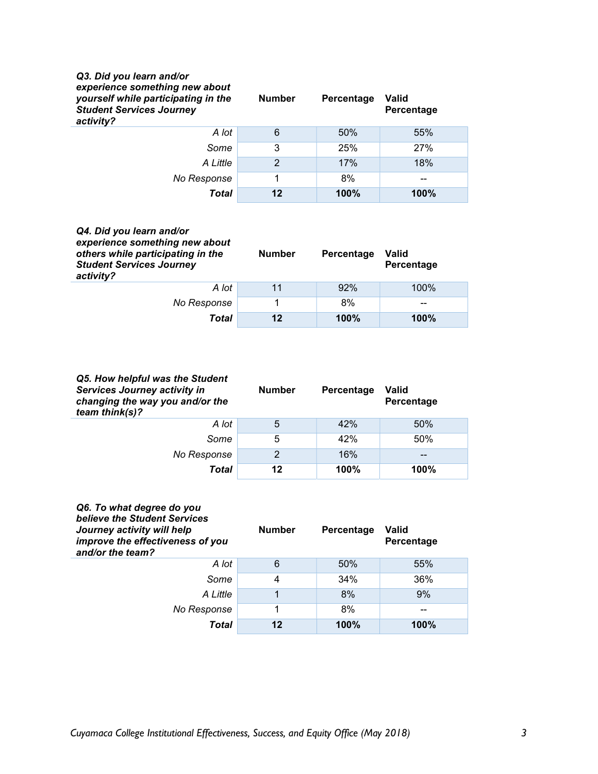| Q3. Did you learn and/or<br>experience something new about<br>yourself while participating in the<br><b>Student Services Journey</b><br>activity? | <b>Number</b>  | Percentage | Valid<br>Percentage |
|---------------------------------------------------------------------------------------------------------------------------------------------------|----------------|------------|---------------------|
| A lot                                                                                                                                             | 6              | 50%        | 55%                 |
| Some                                                                                                                                              | 3              | 25%        | 27%                 |
| A Little                                                                                                                                          | $\overline{2}$ | 17%        | 18%                 |
| No Response                                                                                                                                       | 1              | 8%         | --                  |
| Total                                                                                                                                             | 12             | 100%       | 100%                |

| Q4. Did you learn and/or<br>experience something new about<br>others while participating in the<br><b>Student Services Journey</b><br>activity? | <b>Number</b> | Percentage | Valid<br>Percentage |
|-------------------------------------------------------------------------------------------------------------------------------------------------|---------------|------------|---------------------|
| A lot                                                                                                                                           | 11            | 92%        | 100%                |
| No Response                                                                                                                                     |               | 8%         | --                  |
| Total                                                                                                                                           | 12            | 100%       | 100%                |

| Q5. How helpful was the Student<br>Services Journey activity in<br>changing the way you and/or the<br>team think(s)? | <b>Number</b> | Percentage | Valid<br>Percentage |
|----------------------------------------------------------------------------------------------------------------------|---------------|------------|---------------------|
| A lot                                                                                                                | 5             | 42%        | 50%                 |
| Some                                                                                                                 | 5             | 42%        | 50%                 |
| No Response                                                                                                          | $\mathcal{P}$ | 16%        | $- -$               |
| Total                                                                                                                | 12            | 100%       | 100%                |

| Q6. To what degree do you<br>believe the Student Services<br>Journey activity will help<br>improve the effectiveness of you<br>and/or the team? | <b>Number</b> | Percentage | Valid<br>Percentage |
|-------------------------------------------------------------------------------------------------------------------------------------------------|---------------|------------|---------------------|
| A lot                                                                                                                                           | 6             | 50%        | 55%                 |
| Some                                                                                                                                            | 4             | 34%        | 36%                 |
| A Little                                                                                                                                        | 1             | 8%         | 9%                  |
| No Response                                                                                                                                     |               | 8%         |                     |
| Total                                                                                                                                           | 12            | 100%       | 100%                |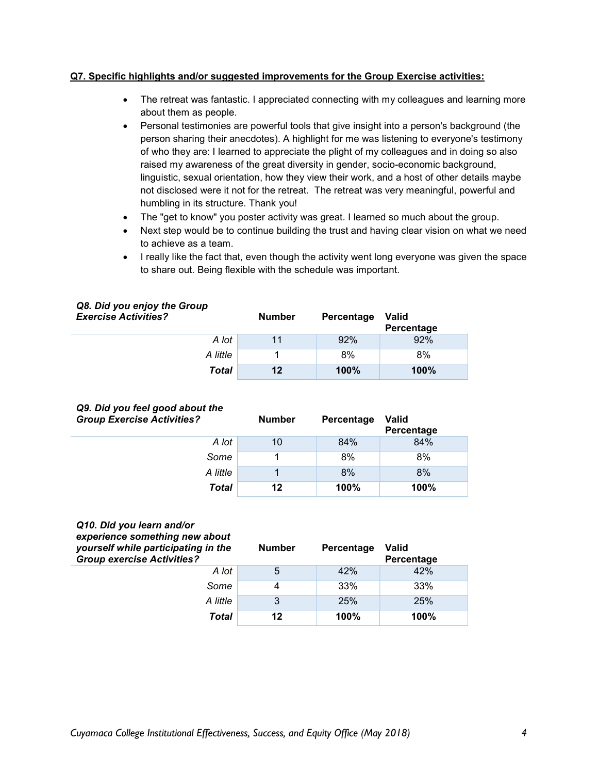#### Q7. Specific highlights and/or suggested improvements for the Group Exercise activities:

- The retreat was fantastic. I appreciated connecting with my colleagues and learning more about them as people.
- Personal testimonies are powerful tools that give insight into a person's background (the person sharing their anecdotes). A highlight for me was listening to everyone's testimony of who they are: I learned to appreciate the plight of my colleagues and in doing so also raised my awareness of the great diversity in gender, socio-economic background, linguistic, sexual orientation, how they view their work, and a host of other details maybe not disclosed were it not for the retreat. The retreat was very meaningful, powerful and humbling in its structure. Thank you!
- The "get to know" you poster activity was great. I learned so much about the group.
- Next step would be to continue building the trust and having clear vision on what we need to achieve as a team.
- I really like the fact that, even though the activity went long everyone was given the space to share out. Being flexible with the schedule was important.

| Qo. Dia you enjoy the Group<br><b>Exercise Activities?</b> | <b>Number</b> | Percentage | Valid<br>Percentage |
|------------------------------------------------------------|---------------|------------|---------------------|
| A lot                                                      | 11            | 92%        | 92%                 |
| A little                                                   |               | 8%         | 8%                  |
| Total                                                      | 12            | 100%       | 100%                |

# Q8. Did you enjoy the Group

|  |  |                                   | Q9. Did you feel good about the |
|--|--|-----------------------------------|---------------------------------|
|  |  | <b>Group Exercise Activities?</b> |                                 |

| <b>Group Exercise Activities?</b> | <b>Number</b> | Percentage | <b>Valid</b><br>Percentage |
|-----------------------------------|---------------|------------|----------------------------|
| A lot                             | 10            | 84%        | 84%                        |
| Some                              |               | 8%         | 8%                         |
| A little                          |               | 8%         | 8%                         |
| Total                             | 12            | 100%       | 100%                       |

#### Q10. Did you learn and/or experience something new about

| experience something new about<br>yourself while participating in the<br><b>Group exercise Activities?</b> | <b>Number</b> | Percentage | <b>Valid</b><br>Percentage |
|------------------------------------------------------------------------------------------------------------|---------------|------------|----------------------------|
| A lot                                                                                                      | 5             | 42%        | 42%                        |
| Some                                                                                                       | 4             | 33%        | 33%                        |
| A little                                                                                                   | 3             | 25%        | 25%                        |
| Total                                                                                                      | $12 \,$       | 100%       | 100%                       |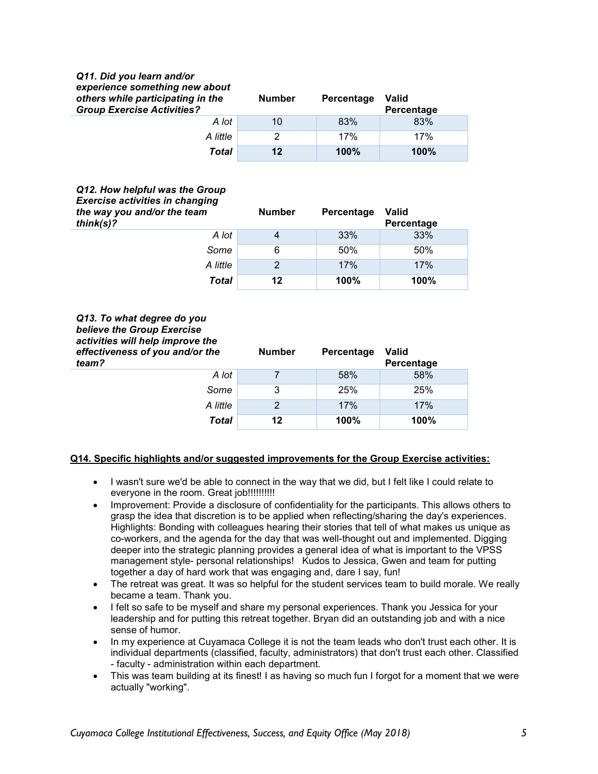#### Q11. Did you learn and/or experience something new about others while participating in the Group Exercise Activities? Number Percentage Valid **Percentage** A lot 10 83% 83% A little  $\begin{array}{|c|c|c|c|c|c|c|c|} \hline \end{array}$  2 17% 17% Total 12 100% 100%

## Q12. How helpful was the Group Exercise activities in changing

| ___________________<br>the way you and/or the team<br>$think(s)$ ? | <b>Number</b> | Percentage | <b>Valid</b><br>Percentage |
|--------------------------------------------------------------------|---------------|------------|----------------------------|
| A lot                                                              | 4             | 33%        | 33%                        |
| Some                                                               | 6             | 50%        | 50%                        |
| A little                                                           | $\mathcal{P}$ | 17%        | 17%                        |
| Total                                                              | 12            | 100%       | 100%                       |

#### Q13. To what degree do you believe the Group Exercise activities will help improve the effectiveness of you an team?

| and/or the | <b>Number</b> | Percentage | <b>Valid</b><br>Percentage |
|------------|---------------|------------|----------------------------|
| A lot      |               | 58%        | 58%                        |
| Some       | 3             | 25%        | 25%                        |
| A little   |               | 17%        | 17%                        |
| Total      | 12            | 100%       | 100%                       |

## Q14. Specific highlights and/or suggested improvements for the Group Exercise activities:

- I wasn't sure we'd be able to connect in the way that we did, but I felt like I could relate to everyone in the room. Great job!!!!!!!!!!!!
- Improvement: Provide a disclosure of confidentiality for the participants. This allows others to grasp the idea that discretion is to be applied when reflecting/sharing the day's experiences. Highlights: Bonding with colleagues hearing their stories that tell of what makes us unique as co-workers, and the agenda for the day that was well-thought out and implemented. Digging deeper into the strategic planning provides a general idea of what is important to the VPSS management style- personal relationships! Kudos to Jessica, Gwen and team for putting together a day of hard work that was engaging and, dare I say, fun!
- The retreat was great. It was so helpful for the student services team to build morale. We really became a team. Thank you.
- I felt so safe to be myself and share my personal experiences. Thank you Jessica for your leadership and for putting this retreat together. Bryan did an outstanding job and with a nice sense of humor.
- In my experience at Cuyamaca College it is not the team leads who don't trust each other. It is individual departments (classified, faculty, administrators) that don't trust each other. Classified - faculty - administration within each department.
- This was team building at its finest! I as having so much fun I forgot for a moment that we were actually "working".